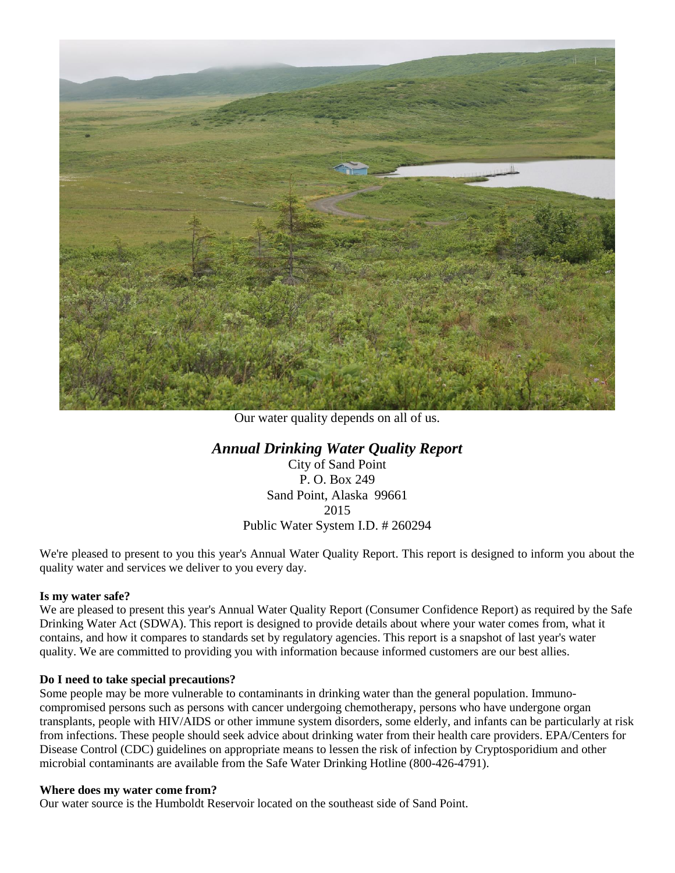

Our water quality depends on all of us.

# *Annual Drinking Water Quality Report*

City of Sand Point P. O. Box 249 Sand Point, Alaska 99661 2015 Public Water System I.D. # 260294

We're pleased to present to you this year's Annual Water Quality Report. This report is designed to inform you about the quality water and services we deliver to you every day.

### **Is my water safe?**

We are pleased to present this year's Annual Water Quality Report (Consumer Confidence Report) as required by the Safe Drinking Water Act (SDWA). This report is designed to provide details about where your water comes from, what it contains, and how it compares to standards set by regulatory agencies. This report is a snapshot of last year's water quality. We are committed to providing you with information because informed customers are our best allies.

### **Do I need to take special precautions?**

Some people may be more vulnerable to contaminants in drinking water than the general population. Immunocompromised persons such as persons with cancer undergoing chemotherapy, persons who have undergone organ transplants, people with HIV/AIDS or other immune system disorders, some elderly, and infants can be particularly at risk from infections. These people should seek advice about drinking water from their health care providers. EPA/Centers for Disease Control (CDC) guidelines on appropriate means to lessen the risk of infection by Cryptosporidium and other microbial contaminants are available from the Safe Water Drinking Hotline (800-426-4791).

#### **Where does my water come from?**

Our water source is the Humboldt Reservoir located on the southeast side of Sand Point.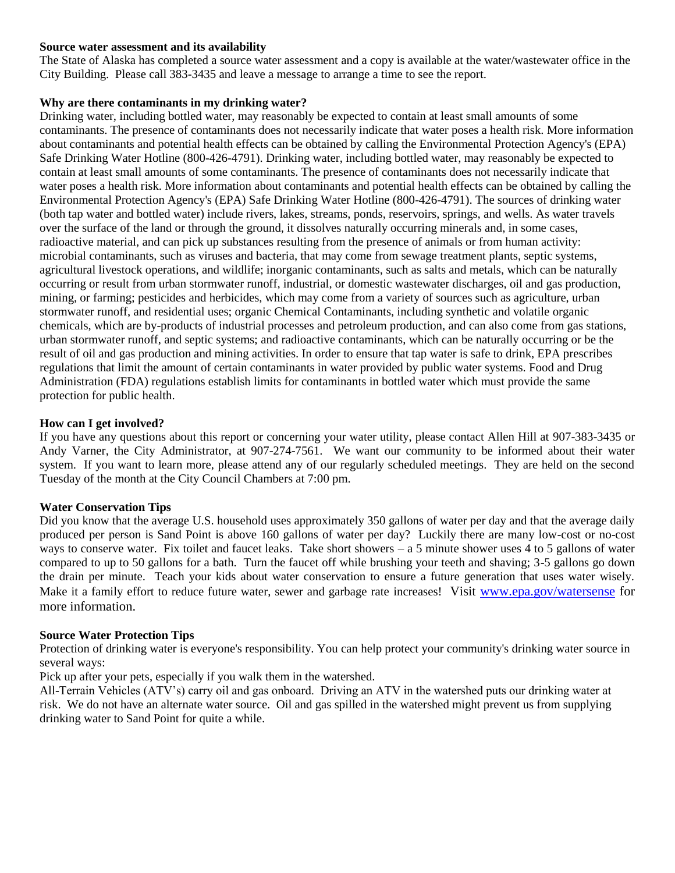### **Source water assessment and its availability**

The State of Alaska has completed a source water assessment and a copy is available at the water/wastewater office in the City Building. Please call 383-3435 and leave a message to arrange a time to see the report.

### **Why are there contaminants in my drinking water?**

Drinking water, including bottled water, may reasonably be expected to contain at least small amounts of some contaminants. The presence of contaminants does not necessarily indicate that water poses a health risk. More information about contaminants and potential health effects can be obtained by calling the Environmental Protection Agency's (EPA) Safe Drinking Water Hotline (800-426-4791). Drinking water, including bottled water, may reasonably be expected to contain at least small amounts of some contaminants. The presence of contaminants does not necessarily indicate that water poses a health risk. More information about contaminants and potential health effects can be obtained by calling the Environmental Protection Agency's (EPA) Safe Drinking Water Hotline (800-426-4791). The sources of drinking water (both tap water and bottled water) include rivers, lakes, streams, ponds, reservoirs, springs, and wells. As water travels over the surface of the land or through the ground, it dissolves naturally occurring minerals and, in some cases, radioactive material, and can pick up substances resulting from the presence of animals or from human activity: microbial contaminants, such as viruses and bacteria, that may come from sewage treatment plants, septic systems, agricultural livestock operations, and wildlife; inorganic contaminants, such as salts and metals, which can be naturally occurring or result from urban stormwater runoff, industrial, or domestic wastewater discharges, oil and gas production, mining, or farming; pesticides and herbicides, which may come from a variety of sources such as agriculture, urban stormwater runoff, and residential uses; organic Chemical Contaminants, including synthetic and volatile organic chemicals, which are by-products of industrial processes and petroleum production, and can also come from gas stations, urban stormwater runoff, and septic systems; and radioactive contaminants, which can be naturally occurring or be the result of oil and gas production and mining activities. In order to ensure that tap water is safe to drink, EPA prescribes regulations that limit the amount of certain contaminants in water provided by public water systems. Food and Drug Administration (FDA) regulations establish limits for contaminants in bottled water which must provide the same protection for public health.

### **How can I get involved?**

If you have any questions about this report or concerning your water utility, please contact Allen Hill at 907-383-3435 or Andy Varner, the City Administrator, at 907-274-7561. We want our community to be informed about their water system. If you want to learn more, please attend any of our regularly scheduled meetings. They are held on the second Tuesday of the month at the City Council Chambers at 7:00 pm.

### **Water Conservation Tips**

Did you know that the average U.S. household uses approximately 350 gallons of water per day and that the average daily produced per person is Sand Point is above 160 gallons of water per day? Luckily there are many low-cost or no-cost ways to conserve water. Fix toilet and faucet leaks. Take short showers  $- a 5$  minute shower uses 4 to 5 gallons of water compared to up to 50 gallons for a bath. Turn the faucet off while brushing your teeth and shaving; 3-5 gallons go down the drain per minute. Teach your kids about water conservation to ensure a future generation that uses water wisely. Make it a family effort to reduce future water, sewer and garbage rate increases! Visit [www.epa.gov/watersense](http://www.epa.gov/watersense) for more information.

### **Source Water Protection Tips**

Protection of drinking water is everyone's responsibility. You can help protect your community's drinking water source in several ways:

Pick up after your pets, especially if you walk them in the watershed.

All-Terrain Vehicles (ATV's) carry oil and gas onboard. Driving an ATV in the watershed puts our drinking water at risk. We do not have an alternate water source. Oil and gas spilled in the watershed might prevent us from supplying drinking water to Sand Point for quite a while.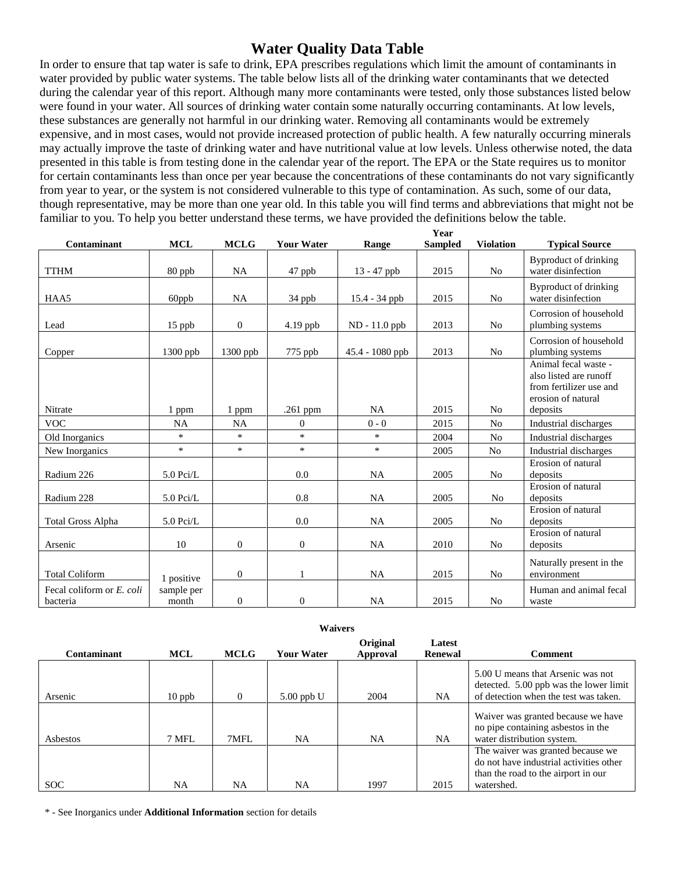# **Water Quality Data Table**

In order to ensure that tap water is safe to drink, EPA prescribes regulations which limit the amount of contaminants in water provided by public water systems. The table below lists all of the drinking water contaminants that we detected during the calendar year of this report. Although many more contaminants were tested, only those substances listed below were found in your water. All sources of drinking water contain some naturally occurring contaminants. At low levels, these substances are generally not harmful in our drinking water. Removing all contaminants would be extremely expensive, and in most cases, would not provide increased protection of public health. A few naturally occurring minerals may actually improve the taste of drinking water and have nutritional value at low levels. Unless otherwise noted, the data presented in this table is from testing done in the calendar year of the report. The EPA or the State requires us to monitor for certain contaminants less than once per year because the concentrations of these contaminants do not vary significantly from year to year, or the system is not considered vulnerable to this type of contamination. As such, some of our data, though representative, may be more than one year old. In this table you will find terms and abbreviations that might not be familiar to you. To help you better understand these terms, we have provided the definitions below the table.

|                                       |                     |                |                   |                   | Year           |                  |                                                                                                 |
|---------------------------------------|---------------------|----------------|-------------------|-------------------|----------------|------------------|-------------------------------------------------------------------------------------------------|
| Contaminant                           | <b>MCL</b>          | <b>MCLG</b>    | <b>Your Water</b> | Range             | <b>Sampled</b> | <b>Violation</b> | <b>Typical Source</b>                                                                           |
| <b>TTHM</b>                           | 80 ppb              | <b>NA</b>      | 47 ppb            | 13 - 47 ppb       | 2015           | N <sub>0</sub>   | Byproduct of drinking<br>water disinfection                                                     |
| HAA5                                  | 60ppb               | <b>NA</b>      | 34 ppb            | 15.4 - 34 ppb     | 2015           | No               | Byproduct of drinking<br>water disinfection                                                     |
| Lead                                  | $15$ ppb            | $\overline{0}$ | 4.19 ppb          | ND - 11.0 ppb     | 2013           | N <sub>0</sub>   | Corrosion of household<br>plumbing systems                                                      |
| Copper                                | $1300$ ppb          | $1300$ ppb     | 775 ppb           | $45.4 - 1080$ ppb | 2013           | N <sub>0</sub>   | Corrosion of household<br>plumbing systems                                                      |
|                                       |                     |                |                   |                   |                |                  | Animal fecal waste -<br>also listed are runoff<br>from fertilizer use and<br>erosion of natural |
| Nitrate                               | 1 ppm               | 1 ppm          | $.261$ ppm        | <b>NA</b>         | 2015           | N <sub>0</sub>   | deposits                                                                                        |
| <b>VOC</b>                            | NA                  | <b>NA</b>      | $\overline{0}$    | $0 - 0$           | 2015           | N <sub>0</sub>   | Industrial discharges                                                                           |
| Old Inorganics                        | $\ast$              | $\ast$         | $\ast$            | $\ast$            | 2004           | No               | Industrial discharges                                                                           |
| New Inorganics                        | $\ast$              | $\ast$         | $\ast$            | $\ast$            | 2005           | N <sub>o</sub>   | Industrial discharges                                                                           |
| Radium 226                            | $5.0$ Pci/L         |                | 0.0               | <b>NA</b>         | 2005           | N <sub>0</sub>   | Erosion of natural<br>deposits                                                                  |
| Radium 228                            | $5.0$ Pci/L         |                | 0.8               | <b>NA</b>         | 2005           | N <sub>o</sub>   | Erosion of natural<br>deposits                                                                  |
| <b>Total Gross Alpha</b>              | $5.0$ Pci/L         |                | 0.0               | <b>NA</b>         | 2005           | N <sub>0</sub>   | Erosion of natural<br>deposits                                                                  |
| Arsenic                               | 10                  | $\overline{0}$ | $\overline{0}$    | <b>NA</b>         | 2010           | N <sub>0</sub>   | Erosion of natural<br>deposits                                                                  |
| <b>Total Coliform</b>                 | 1 positive          | $\theta$       | 1                 | <b>NA</b>         | 2015           | No               | Naturally present in the<br>environment                                                         |
| Fecal coliform or E. coli<br>bacteria | sample per<br>month | $\overline{0}$ | $\overline{0}$    | <b>NA</b>         | 2015           | N <sub>0</sub>   | Human and animal fecal<br>waste                                                                 |

|  |  |  | Waivers |
|--|--|--|---------|
|--|--|--|---------|

|             |           |             |                   | Original | Latest         |                                                                                                                                   |
|-------------|-----------|-------------|-------------------|----------|----------------|-----------------------------------------------------------------------------------------------------------------------------------|
| Contaminant | MCL       | <b>MCLG</b> | <b>Your Water</b> | Approval | <b>Renewal</b> | <b>Comment</b>                                                                                                                    |
| Arsenic     | $10$ ppb  | 0           | $5.00$ ppb U      | 2004     | NA             | 5.00 U means that Arsenic was not<br>detected. 5.00 ppb was the lower limit<br>of detection when the test was taken.              |
| Asbestos    | 7 MFL     | 7MFL        | NA                | NA       | NA             | Waiver was granted because we have<br>no pipe containing as best os in the<br>water distribution system.                          |
| SOC.        | <b>NA</b> | NA          | NA                | 1997     | 2015           | The waiver was granted because we<br>do not have industrial activities other<br>than the road to the airport in our<br>watershed. |

\* - See Inorganics under **Additional Information** section for details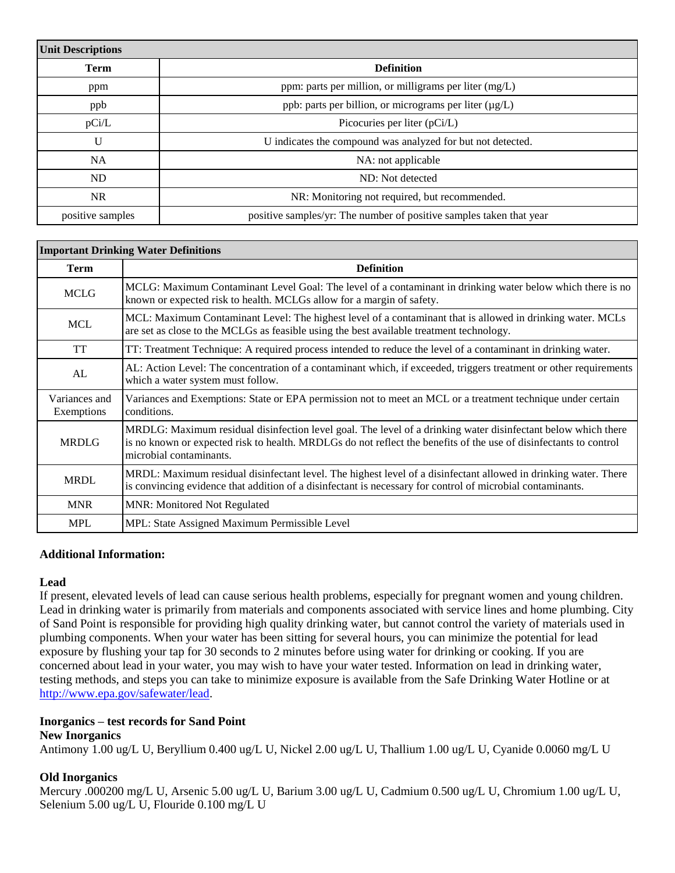| <b>Unit Descriptions</b> |                                                                     |
|--------------------------|---------------------------------------------------------------------|
| <b>Term</b>              | <b>Definition</b>                                                   |
| ppm                      | ppm: parts per million, or milligrams per liter $(mg/L)$            |
| ppb                      | ppb: parts per billion, or micrograms per liter (µg/L)              |
| pCi/L                    | Picocuries per liter (pCi/L)                                        |
| $\mathbf{U}$             | U indicates the compound was analyzed for but not detected.         |
| <b>NA</b>                | NA: not applicable                                                  |
| ND                       | ND: Not detected                                                    |
| <b>NR</b>                | NR: Monitoring not required, but recommended.                       |
| positive samples         | positive samples/yr: The number of positive samples taken that year |

|                             | <b>Important Drinking Water Definitions</b>                                                                                                                                                                                                                   |
|-----------------------------|---------------------------------------------------------------------------------------------------------------------------------------------------------------------------------------------------------------------------------------------------------------|
| <b>Term</b>                 | <b>Definition</b>                                                                                                                                                                                                                                             |
| <b>MCLG</b>                 | MCLG: Maximum Contaminant Level Goal: The level of a contaminant in drinking water below which there is no<br>known or expected risk to health. MCLGs allow for a margin of safety.                                                                           |
| <b>MCL</b>                  | MCL: Maximum Contaminant Level: The highest level of a contaminant that is allowed in drinking water. MCLs<br>are set as close to the MCLGs as feasible using the best available treatment technology.                                                        |
| <b>TT</b>                   | TT: Treatment Technique: A required process intended to reduce the level of a contaminant in drinking water.                                                                                                                                                  |
| AL                          | AL: Action Level: The concentration of a contaminant which, if exceeded, triggers treatment or other requirements<br>which a water system must follow.                                                                                                        |
| Variances and<br>Exemptions | Variances and Exemptions: State or EPA permission not to meet an MCL or a treatment technique under certain<br>conditions.                                                                                                                                    |
| <b>MRDLG</b>                | MRDLG: Maximum residual disinfection level goal. The level of a drinking water disinfectant below which there<br>is no known or expected risk to health. MRDLGs do not reflect the benefits of the use of disinfectants to control<br>microbial contaminants. |
| <b>MRDL</b>                 | MRDL: Maximum residual disinfectant level. The highest level of a disinfectant allowed in drinking water. There<br>is convincing evidence that addition of a disinfectant is necessary for control of microbial contaminants.                                 |
| <b>MNR</b>                  | <b>MNR: Monitored Not Regulated</b>                                                                                                                                                                                                                           |
| <b>MPL</b>                  | MPL: State Assigned Maximum Permissible Level                                                                                                                                                                                                                 |

### **Additional Information:**

#### **Lead**

If present, elevated levels of lead can cause serious health problems, especially for pregnant women and young children. Lead in drinking water is primarily from materials and components associated with service lines and home plumbing. City of Sand Point is responsible for providing high quality drinking water, but cannot control the variety of materials used in plumbing components. When your water has been sitting for several hours, you can minimize the potential for lead exposure by flushing your tap for 30 seconds to 2 minutes before using water for drinking or cooking. If you are concerned about lead in your water, you may wish to have your water tested. Information on lead in drinking water, testing methods, and steps you can take to minimize exposure is available from the Safe Drinking Water Hotline or at [http://www.epa.gov/safewater/lead.](http://www.epa.gov/safewater/lead)

# **Inorganics – test records for Sand Point**

## **New Inorganics**

Antimony 1.00 ug/L U, Beryllium 0.400 ug/L U, Nickel 2.00 ug/L U, Thallium 1.00 ug/L U, Cyanide 0.0060 mg/L U

### **Old Inorganics**

Mercury .000200 mg/L U, Arsenic 5.00 ug/L U, Barium 3.00 ug/L U, Cadmium 0.500 ug/L U, Chromium 1.00 ug/L U, Selenium 5.00 ug/L U, Flouride 0.100 mg/L U